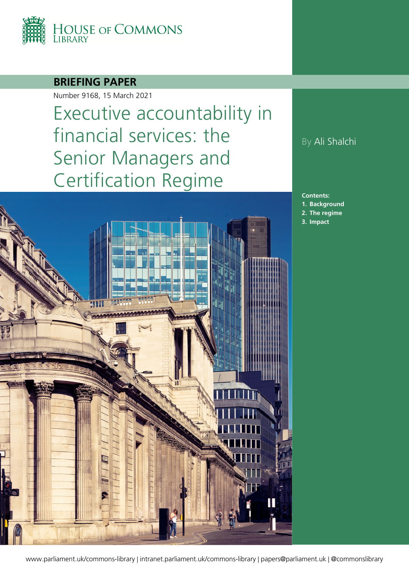

## **BRIEFING PAPER**

Number 9168, 15 March 2021

# Executive accountability in financial services: the Senior Managers and Certification Regime



## By Ali Shalchi

**Contents: 1. [Background](#page-3-0) 2. [The regime](#page-10-0)**

**3. [Impact](#page-14-0)**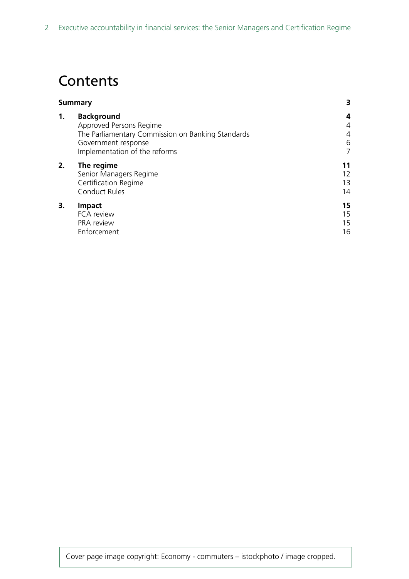## **Contents**

| <b>Summary</b>                                    | 3  |
|---------------------------------------------------|----|
| <b>Background</b>                                 | 4  |
| Approved Persons Regime                           | 4  |
| The Parliamentary Commission on Banking Standards | 4  |
| Government response                               | 6  |
| Implementation of the reforms                     | 7  |
| The regime                                        | 11 |
| Senior Managers Regime                            | 12 |
| Certification Regime                              | 13 |
| <b>Conduct Rules</b>                              | 14 |
| <b>Impact</b>                                     | 15 |
| FCA review                                        | 15 |
| PRA review                                        | 15 |
| Enforcement                                       | 16 |
|                                                   |    |

Cover page image copyright: Economy - commuters – istockphoto / image cropped.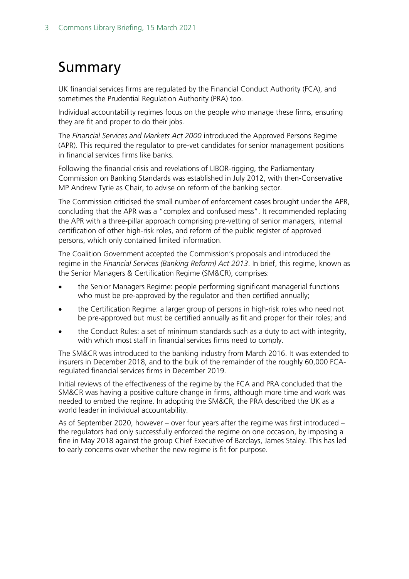## <span id="page-2-0"></span>Summary

UK financial services firms are regulated by the Financial Conduct Authority (FCA), and sometimes the Prudential Regulation Authority (PRA) too.

Individual accountability regimes focus on the people who manage these firms, ensuring they are fit and proper to do their jobs.

The *Financial Services and Markets Act 2000* introduced the Approved Persons Regime (APR). This required the regulator to pre-vet candidates for senior management positions in financial services firms like banks.

Following the financial crisis and revelations of LIBOR-rigging, the Parliamentary Commission on Banking Standards was established in July 2012, with then-Conservative MP Andrew Tyrie as Chair, to advise on reform of the banking sector.

The Commission criticised the small number of enforcement cases brought under the APR, concluding that the APR was a "complex and confused mess". It recommended replacing the APR with a three-pillar approach comprising pre-vetting of senior managers, internal certification of other high-risk roles, and reform of the public register of approved persons, which only contained limited information.

The Coalition Government accepted the Commission's proposals and introduced the regime in the *Financial Services (Banking Reform) Act 2013*. In brief, this regime, known as the Senior Managers & Certification Regime (SM&CR), comprises:

- the Senior Managers Regime: people performing significant managerial functions who must be pre-approved by the regulator and then certified annually;
- the Certification Regime: a larger group of persons in high-risk roles who need not be pre-approved but must be certified annually as fit and proper for their roles; and
- the Conduct Rules: a set of minimum standards such as a duty to act with integrity, with which most staff in financial services firms need to comply.

The SM&CR was introduced to the banking industry from March 2016. It was extended to insurers in December 2018, and to the bulk of the remainder of the roughly 60,000 FCAregulated financial services firms in December 2019.

Initial reviews of the effectiveness of the regime by the FCA and PRA concluded that the SM&CR was having a positive culture change in firms, although more time and work was needed to embed the regime. In adopting the SM&CR, the PRA described the UK as a world leader in individual accountability.

As of September 2020, however – over four years after the regime was first introduced – the regulators had only successfully enforced the regime on one occasion, by imposing a fine in May 2018 against the group Chief Executive of Barclays, James Staley. This has led to early concerns over whether the new regime is fit for purpose.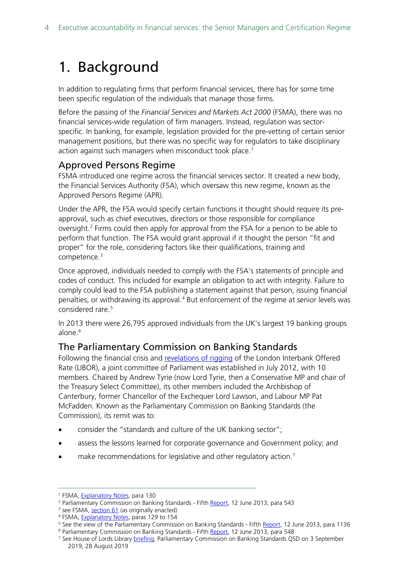## <span id="page-3-0"></span>1. Background

In addition to regulating firms that perform financial services, there has for some time been specific regulation of the individuals that manage those firms.

Before the passing of the *Financial Services and Markets Act 2000* (FSMA), there was no financial services-wide regulation of firm managers. Instead, regulation was sectorspecific. In banking, for example, legislation provided for the pre-vetting of certain senior management positions, but there was no specific way for regulators to take disciplinary action against such managers when misconduct took place.<sup>1</sup>

## <span id="page-3-1"></span>Approved Persons Regime

FSMA introduced one regime across the financial services sector. It created a new body, the Financial Services Authority (FSA), which oversaw this new regime, known as the Approved Persons Regime (APR).

Under the APR, the FSA would specify certain functions it thought should require its preapproval, such as chief executives, directors or those responsible for compliance oversight. [2](#page-3-4) Firms could then apply for approval from the FSA for a person to be able to perform that function. The FSA would grant approval if it thought the person "fit and proper" for the role, considering factors like their qualifications, training and competence. [3](#page-3-5)

Once approved, individuals needed to comply with the FSA's statements of principle and codes of conduct. This included for example an obligation to act with integrity. Failure to comply could lead to the FSA publishing a statement against that person, issuing financial penalties, or withdrawing its approval.<sup>[4](#page-3-6)</sup> But enforcement of the regime at senior levels was considered rare.<sup>[5](#page-3-7)</sup>

In 2013 there were 26,795 approved individuals from the UK's largest 19 banking groups alone.<sup>[6](#page-3-8)</sup>

## <span id="page-3-2"></span>The Parliamentary Commission on Banking Standards

Following the financial crisis and [revelations](https://researchbriefings.files.parliament.uk/documents/CBP-8705/CBP-8705.pdf#page=17) of rigging of the London Interbank Offered Rate (LIBOR), a joint committee of Parliament was established in July 2012, with 10 members. Chaired by Andrew Tyrie (now Lord Tyrie, then a Conservative MP and chair of the Treasury Select Committee), its other members included the Archbishop of Canterbury, former Chancellor of the Exchequer Lord Lawson, and Labour MP Pat McFadden. Known as the Parliamentary Commission on Banking Standards (the Commission), its remit was to:

- consider the "standards and culture of the UK banking sector";
- assess the lessons learned for corporate governance and Government policy; and
- make recommendations for legislative and other regulatory action.<sup>[7](#page-3-9)</sup>

<span id="page-3-3"></span><sup>1</sup> FSMA, [Explanatory Notes,](https://www.legislation.gov.uk/ukpga/2000/8/notes/division/6/5) para 130

<span id="page-3-4"></span><sup>&</sup>lt;sup>2</sup> Parliamentary Commission on Banking Standards - Fifth [Report,](https://publications.parliament.uk/pa/jt201314/jtselect/jtpcbs/27/27ii08.htm) 12 June 2013, para 543

<span id="page-3-5"></span> $3$  see FSMA, [section 61](https://www.legislation.gov.uk/ukpga/2000/8/part/V/enacted) (as originally enacted)

<span id="page-3-6"></span><sup>&</sup>lt;sup>4</sup> FSMA, **Explanatory Notes**, paras 129 to 154

<span id="page-3-8"></span><span id="page-3-7"></span><sup>&</sup>lt;sup>5</sup> See the view of the Parliamentary Commission on Banking Standards - Fift[h Report,](https://publications.parliament.uk/pa/jt201314/jtselect/jtpcbs/27/27ii08.htm) 12 June 2013, para 1136

<sup>&</sup>lt;sup>6</sup> Parliamentary Commission on Banking Standards - Fifth [Report,](https://publications.parliament.uk/pa/jt201314/jtselect/jtpcbs/27/27ii08.htm) 12 June 2013, para 548

<span id="page-3-9"></span><sup>&</sup>lt;sup>7</sup> See House of Lords Library [briefing,](https://researchbriefings.files.parliament.uk/documents/LLN-2019-0109/LLN-2019-0109.pdf) Parliamentary Commission on Banking Standards QSD on 3 September 2019, 28 August 2019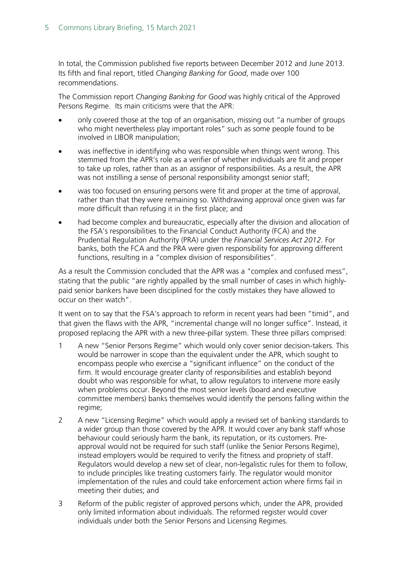In total, the Commission published five reports between December 2012 and June 2013. Its fifth and final report, titled *Changing Banking for Good*, made over 100 recommendations.

The Commission report *Changing Banking for Good* was highly critical of the Approved Persons Regime. Its main criticisms were that the APR:

- only covered those at the top of an organisation, missing out "a number of groups who might nevertheless play important roles" such as some people found to be involved in LIBOR manipulation;
- was ineffective in identifying who was responsible when things went wrong. This stemmed from the APR's role as a verifier of whether individuals are fit and proper to take up roles, rather than as an assignor of responsibilities. As a result, the APR was not instilling a sense of personal responsibility amongst senior staff;
- was too focused on ensuring persons were fit and proper at the time of approval, rather than that they were remaining so. Withdrawing approval once given was far more difficult than refusing it in the first place; and
- had become complex and bureaucratic, especially after the division and allocation of the FSA's responsibilities to the Financial Conduct Authority (FCA) and the Prudential Regulation Authority (PRA) under the *Financial Services Act 2012*. For banks, both the FCA and the PRA were given responsibility for approving different functions, resulting in a "complex division of responsibilities".

As a result the Commission concluded that the APR was a "complex and confused mess", stating that the public "are rightly appalled by the small number of cases in which highlypaid senior bankers have been disciplined for the costly mistakes they have allowed to occur on their watch".

It went on to say that the FSA's approach to reform in recent years had been "timid", and that given the flaws with the APR, "incremental change will no longer suffice". Instead, it proposed replacing the APR with a new three-pillar system. These three pillars comprised:

- 1 A new "Senior Persons Regime" which would only cover senior decision-takers. This would be narrower in scope than the equivalent under the APR, which sought to encompass people who exercise a "significant influence" on the conduct of the firm. It would encourage greater clarity of responsibilities and establish beyond doubt who was responsible for what, to allow regulators to intervene more easily when problems occur. Beyond the most senior levels (board and executive committee members) banks themselves would identify the persons falling within the regime;
- 2 A new "Licensing Regime" which would apply a revised set of banking standards to a wider group than those covered by the APR. It would cover any bank staff whose behaviour could seriously harm the bank, its reputation, or its customers. Preapproval would not be required for such staff (unlike the Senior Persons Regime), instead employers would be required to verify the fitness and propriety of staff. Regulators would develop a new set of clear, non-legalistic rules for them to follow, to include principles like treating customers fairly. The regulator would monitor implementation of the rules and could take enforcement action where firms fail in meeting their duties; and
- 3 Reform of the public register of approved persons which, under the APR, provided only limited information about individuals. The reformed register would cover individuals under both the Senior Persons and Licensing Regimes.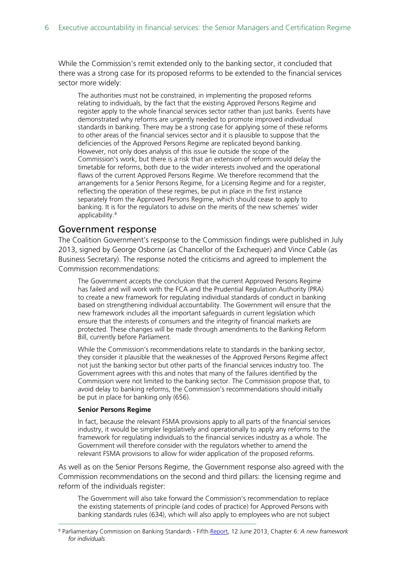While the Commission's remit extended only to the banking sector, it concluded that there was a strong case for its proposed reforms to be extended to the financial services sector more widely:

The authorities must not be constrained, in implementing the proposed reforms relating to individuals, by the fact that the existing Approved Persons Regime and register apply to the whole financial services sector rather than just banks. Events have demonstrated why reforms are urgently needed to promote improved individual standards in banking. There may be a strong case for applying some of these reforms to other areas of the financial services sector and it is plausible to suppose that the deficiencies of the Approved Persons Regime are replicated beyond banking. However, not only does analysis of this issue lie outside the scope of the Commission's work, but there is a risk that an extension of reform would delay the timetable for reforms, both due to the wider interests involved and the operational flaws of the current Approved Persons Regime. We therefore recommend that the arrangements for a Senior Persons Regime, for a Licensing Regime and for a register, reflecting the operation of these regimes, be put in place in the first instance separately from the Approved Persons Regime, which should cease to apply to banking. It is for the regulators to advise on the merits of the new schemes' wider applicability.<sup>[8](#page-5-1)</sup>

#### <span id="page-5-0"></span>Government response

The Coalition Government's response to the Commission findings were published in July 2013, signed by George Osborne (as Chancellor of the Exchequer) and Vince Cable (as Business Secretary). The response noted the criticisms and agreed to implement the Commission recommendations:

The Government accepts the conclusion that the current Approved Persons Regime has failed and will work with the FCA and the Prudential Regulation Authority (PRA) to create a new framework for regulating individual standards of conduct in banking based on strengthening individual accountability. The Government will ensure that the new framework includes all the important safeguards in current legislation which ensure that the interests of consumers and the integrity of financial markets are protected. These changes will be made through amendments to the Banking Reform Bill, currently before Parliament.

While the Commission's recommendations relate to standards in the banking sector, they consider it plausible that the weaknesses of the Approved Persons Regime affect not just the banking sector but other parts of the financial services industry too. The Government agrees with this and notes that many of the failures identified by the Commission were not limited to the banking sector. The Commission propose that, to avoid delay to banking reforms, the Commission's recommendations should initially be put in place for banking only (656).

#### **Senior Persons Regime**

In fact, because the relevant FSMA provisions apply to all parts of the financial services industry, it would be simpler legislatively and operationally to apply any reforms to the framework for regulating individuals to the financial services industry as a whole. The Government will therefore consider with the regulators whether to amend the relevant FSMA provisions to allow for wider application of the proposed reforms.

As well as on the Senior Persons Regime, the Government response also agreed with the Commission recommendations on the second and third pillars: the licensing regime and reform of the individuals register:

The Government will also take forward the Commission's recommendation to replace the existing statements of principle (and codes of practice) for Approved Persons with banking standards rules (634), which will also apply to employees who are not subject

<span id="page-5-1"></span><sup>8</sup> Parliamentary Commission on Banking Standards - Fifth [Report,](https://publications.parliament.uk/pa/jt201314/jtselect/jtpcbs/27/27ii08.htm) 12 June 2013, Chapter 6: *A new framework for individuals*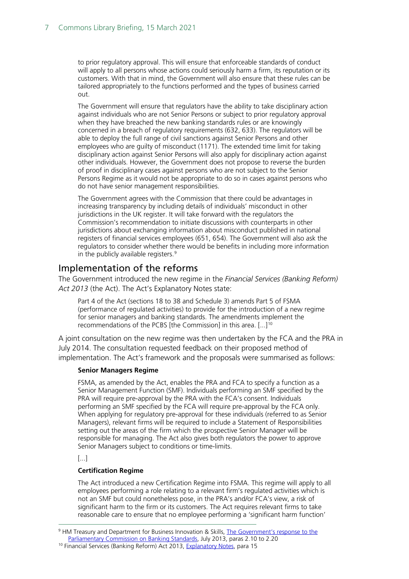to prior regulatory approval. This will ensure that enforceable standards of conduct will apply to all persons whose actions could seriously harm a firm, its reputation or its customers. With that in mind, the Government will also ensure that these rules can be tailored appropriately to the functions performed and the types of business carried out.

The Government will ensure that regulators have the ability to take disciplinary action against individuals who are not Senior Persons or subject to prior regulatory approval when they have breached the new banking standards rules or are knowingly concerned in a breach of regulatory requirements (632, 633). The regulators will be able to deploy the full range of civil sanctions against Senior Persons and other employees who are guilty of misconduct (1171). The extended time limit for taking disciplinary action against Senior Persons will also apply for disciplinary action against other individuals. However, the Government does not propose to reverse the burden of proof in disciplinary cases against persons who are not subject to the Senior Persons Regime as it would not be appropriate to do so in cases against persons who do not have senior management responsibilities.

The Government agrees with the Commission that there could be advantages in increasing transparency by including details of individuals' misconduct in other jurisdictions in the UK register. It will take forward with the regulators the Commission's recommendation to initiate discussions with counterparts in other jurisdictions about exchanging information about misconduct published in national registers of financial services employees (651, 654). The Government will also ask the regulators to consider whether there would be benefits in including more information in the publicly available registers. $9$ 

### <span id="page-6-0"></span>Implementation of the reforms

The Government introduced the new regime in the *Financial Services (Banking Reform) Act 2013* (the Act). The Act's Explanatory Notes state:

Part 4 of the Act (sections 18 to 38 and Schedule 3) amends Part 5 of FSMA (performance of regulated activities) to provide for the introduction of a new regime for senior managers and banking standards. The amendments implement the recommendations of the PCBS [the Commission] in this area. [...][10](#page-6-2)

<span id="page-6-3"></span>A joint consultation on the new regime was then undertaken by the FCA and the PRA in July 2014. The consultation requested feedback on their proposed method of implementation. The Act's framework and the proposals were summarised as follows:

#### **Senior Managers Regime**

FSMA, as amended by the Act, enables the PRA and FCA to specify a function as a Senior Management Function (SMF). Individuals performing an SMF specified by the PRA will require pre-approval by the PRA with the FCA's consent. Individuals performing an SMF specified by the FCA will require pre-approval by the FCA only. When applying for regulatory pre-approval for these individuals (referred to as Senior Managers), relevant firms will be required to include a Statement of Responsibilities setting out the areas of the firm which the prospective Senior Manager will be responsible for managing. The Act also gives both regulators the power to approve Senior Managers subject to conditions or time-limits.

[...]

#### **Certification Regime**

The Act introduced a new Certification Regime into FSMA. This regime will apply to all employees performing a role relating to a relevant firm's regulated activities which is not an SMF but could nonetheless pose, in the PRA's and/or FCA's view, a risk of significant harm to the firm or its customers. The Act requires relevant firms to take reasonable care to ensure that no employee performing a 'significant harm function'

<span id="page-6-1"></span><sup>9</sup> HM Treasury and Department for Business Innovation & Skills, The Government's response to the [Parliamentary Commission on Banking Standards,](https://assets.publishing.service.gov.uk/government/uploads/system/uploads/attachment_data/file/211047/gov_response_to_the_parliamentary_commission_on_banking_standards.pdf) July 2013, paras 2.10 to 2.20

<span id="page-6-2"></span><sup>&</sup>lt;sup>10</sup> Financial Services (Banking Reform) Act 2013, [Explanatory Notes,](https://www.legislation.gov.uk/ukpga/2013/33/notes) para 15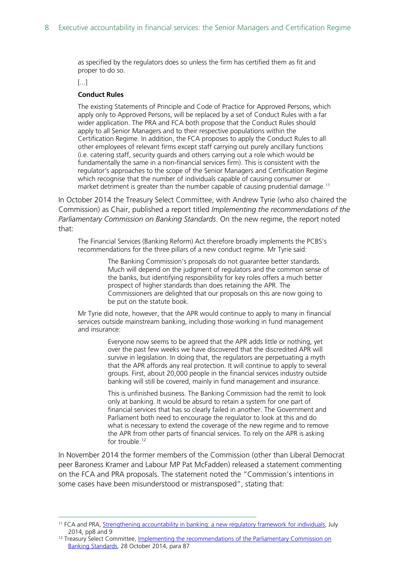as specified by the regulators does so unless the firm has certified them as fit and proper to do so.

[...]

#### **Conduct Rules**

The existing Statements of Principle and Code of Practice for Approved Persons, which apply only to Approved Persons, will be replaced by a set of Conduct Rules with a far wider application. The PRA and FCA both propose that the Conduct Rules should apply to all Senior Managers and to their respective populations within the Certification Regime. In addition, the FCA proposes to apply the Conduct Rules to all other employees of relevant firms except staff carrying out purely ancillary functions (i.e. catering staff, security guards and others carrying out a role which would be fundamentally the same in a non-financial services firm). This is consistent with the regulator's approaches to the scope of the Senior Managers and Certification Regime which recognise that the number of individuals capable of causing consumer or market detriment is greater than the number capable of causing prudential damage.<sup>[11](#page-7-0)</sup>

In October 2014 the Treasury Select Committee, with Andrew Tyrie (who also chaired the Commission) as Chair, published a report titled *Implementing the recommendations of the Parliamentary Commission on Banking Standards*. On the new regime, the report noted that:

The Financial Services (Banking Reform) Act therefore broadly implements the PCBS's recommendations for the three pillars of a new conduct regime. Mr Tyrie said:

> The Banking Commission's proposals do not guarantee better standards. Much will depend on the judgment of regulators and the common sense of the banks, but identifying responsibility for key roles offers a much better prospect of higher standards than does retaining the APR. The Commissioners are delighted that our proposals on this are now going to be put on the statute book.

Mr Tyrie did note, however, that the APR would continue to apply to many in financial services outside mainstream banking, including those working in fund management and insurance:

> Everyone now seems to be agreed that the APR adds little or nothing, yet over the past few weeks we have discovered that the discredited APR will survive in legislation. In doing that, the regulators are perpetuating a myth that the APR affords any real protection. It will continue to apply to several groups. First, about 20,000 people in the financial services industry outside banking will still be covered, mainly in fund management and insurance.

This is unfinished business. The Banking Commission had the remit to look only at banking. It would be absurd to retain a system for one part of financial services that has so clearly failed in another. The Government and Parliament both need to encourage the regulator to look at this and do what is necessary to extend the coverage of the new regime and to remove the APR from other parts of financial services. To rely on the APR is asking for trouble.<sup>[12](#page-7-1)</sup>

In November 2014 the former members of the Commission (other than Liberal Democrat peer Baroness Kramer and Labour MP Pat McFadden) released a statement commenting on the FCA and PRA proposals. The statement noted the "Commission's intentions in some cases have been misunderstood or mistransposed", stating that:

<span id="page-7-0"></span><sup>&</sup>lt;sup>11</sup> FCA and PRA[, Strengthening accountability in banking: a new regulatory framework for individuals,](https://www.fca.org.uk/publication/consultation/cp14-13.pdf) July 2014, pp8 and 9

<span id="page-7-1"></span><sup>&</sup>lt;sup>12</sup> Treasury Select Committee, Implementing the recommendations of the Parliamentary Commission on [Banking Standards,](https://publications.parliament.uk/pa/cm201415/cmselect/cmtreasy/768/76802.htm) 28 October 2014, para 87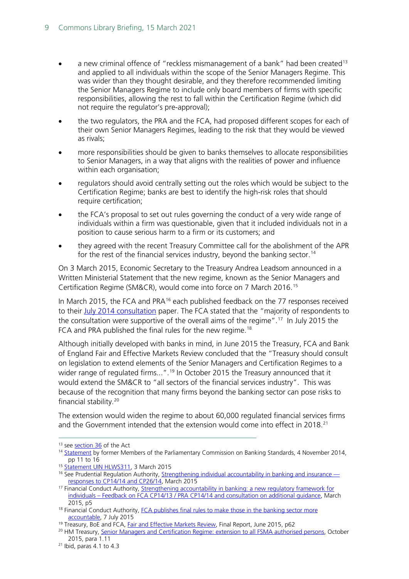- a new criminal offence of "reckless mismanagement of a bank" had been created<sup>[13](#page-8-0)</sup> and applied to all individuals within the scope of the Senior Managers Regime. This was wider than they thought desirable, and they therefore recommended limiting the Senior Managers Regime to include only board members of firms with specific responsibilities, allowing the rest to fall within the Certification Regime (which did not require the regulator's pre-approval);
- the two regulators, the PRA and the FCA, had proposed different scopes for each of their own Senior Managers Regimes, leading to the risk that they would be viewed as rivals;
- more responsibilities should be given to banks themselves to allocate responsibilities to Senior Managers, in a way that aligns with the realities of power and influence within each organisation;
- regulators should avoid centrally setting out the roles which would be subject to the Certification Regime; banks are best to identify the high-risk roles that should require certification;
- <span id="page-8-9"></span>• the FCA's proposal to set out rules governing the conduct of a very wide range of individuals within a firm was questionable, given that it included individuals not in a position to cause serious harm to a firm or its customers; and
- they agreed with the recent Treasury Committee call for the abolishment of the APR for the rest of the financial services industry, beyond the banking sector.<sup>14</sup>

On 3 March 2015, Economic Secretary to the Treasury Andrea Leadsom announced in a Written Ministerial Statement that the new regime, known as the Senior Managers and Certification Regime (SM&CR), would come into force on 7 March 2016.[15](#page-8-2)

In March 2015, the FCA and PRA<sup>[16](#page-8-3)</sup> each published feedback on the 77 responses received to their [July 2014 consultation](#page-6-3) paper. The FCA stated that the "majority of respondents to the consultation were supportive of the overall aims of the regime".[17](#page-8-4) In July 2015 the FCA and PRA published the final rules for the new regime.<sup>[18](#page-8-5)</sup>

Although initially developed with banks in mind, in June 2015 the Treasury, FCA and Bank of England Fair and Effective Markets Review concluded that the "Treasury should consult on legislation to extend elements of the Senior Managers and Certification Regimes to a wider range of regulated firms...".<sup>[19](#page-8-6)</sup> In October 2015 the Treasury announced that it would extend the SM&CR to "all sectors of the financial services industry". This was because of the recognition that many firms beyond the banking sector can pose risks to financial stability.[20](#page-8-7)

The extension would widen the regime to about 60,000 regulated financial services firms and the Government intended that the extension would come into effect in 2018. $^{21}$ 

<span id="page-8-0"></span><sup>&</sup>lt;sup>13</sup> se[e section 36](https://www.legislation.gov.uk/ukpga/2013/33/contents) of the Act

<span id="page-8-1"></span><sup>&</sup>lt;sup>14</sup> [Statement](https://www.parliament.uk/globalassets/documents/commons-committees/treasury/Statement_by_former_Members_of_PCBS.pdf) by former Members of the Parliamentary Commission on Banking Standards, 4 November 2014, pp 11 to 16

<span id="page-8-2"></span><sup>15</sup> [Statement UIN HLWS311,](https://questions-statements.parliament.uk/written-statements/detail/2015-03-03/HLWS311) 3 March 2015

<span id="page-8-3"></span><sup>&</sup>lt;sup>16</sup> See Prudential Regulation Authority, [Strengthening individual accountability in banking and insurance](https://www.bankofengland.co.uk/-/media/boe/files/prudential-regulation/policy-statement/2015/ps315.pdf)  [responses to CP14/14 and CP26/14,](https://www.bankofengland.co.uk/-/media/boe/files/prudential-regulation/policy-statement/2015/ps315.pdf) March 2015

<span id="page-8-4"></span><sup>&</sup>lt;sup>17</sup> Financial Conduct Authority, Strengthening accountability in banking: a new regulatory framework for individuals – [Feedback on FCA CP14/13 / PRA CP14/14 and consultation on additional guidance,](https://www.fca.org.uk/publication/consultation/cp15-09.pdf) March 2015, p5

<span id="page-8-5"></span><sup>&</sup>lt;sup>18</sup> Financial Conduct Authority, FCA publishes final rules to make those in the banking sector more [accountable,](https://www.fca.org.uk/news/press-releases/fca-publishes-final-rules-make-those-banking-sector-more-accountable) 7 July 2015

<span id="page-8-6"></span><sup>&</sup>lt;sup>19</sup> Treasury, BoE and FCA[, Fair and Effective Markets Review,](https://www.bankofengland.co.uk/-/media/boe/files/report/2015/fair-and-effective-markets-review-final-report.pdf?la=en&hash=1985B00AA2221D81606668501E01EB0B0412403A) Final Report, June 2015, p62

<span id="page-8-7"></span><sup>&</sup>lt;sup>20</sup> HM Treasury, [Senior Managers and Certification Regime: extension to all FSMA authorised persons,](https://assets.publishing.service.gov.uk/government/uploads/system/uploads/attachment_data/file/468328/SMCR_policy_paper_final_15102015.pdf) October 2015, para 1.11

<span id="page-8-8"></span><sup>21</sup> Ibid, paras 4.1 to 4.3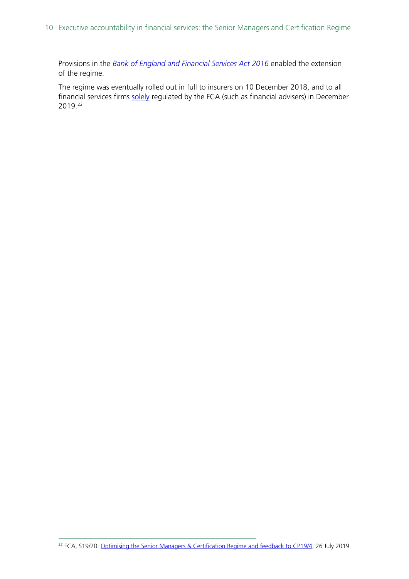Provisions in the *Bank of England [and Financial Services](https://www.legislation.gov.uk/ukpga/2016/14/part/2/crossheading/conduct-of-persons-working-in-financial-services-sector/enacted) Act 2016* enabled the extension of the regime.

The regime was eventually rolled out in full to insurers on 10 December 2018, and to all financial services firms [solely](#page-10-1) regulated by the FCA (such as financial advisers) in December 2019.[22](#page-9-0)

<span id="page-9-0"></span><sup>22</sup> FCA, S19/20[: Optimising the Senior Managers & Certification Regime and feedback to CP19/4,](https://www.fca.org.uk/publications/policy-statements/ps19-20-optimising-senior-managers-certification-regime-and-feedback-cp19-4) 26 July 2019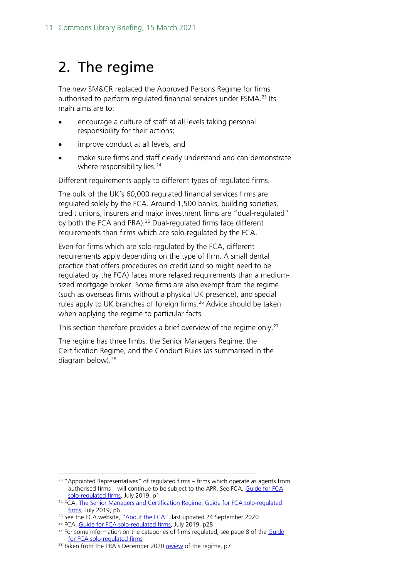## <span id="page-10-0"></span>2. The regime

The new SM&CR replaced the Approved Persons Regime for firms authorised to perform regulated financial services under FSMA.<sup>[23](#page-10-2)</sup> Its main aims are to:

- encourage a culture of staff at all levels taking personal responsibility for their actions;
- improve conduct at all levels; and
- make sure firms and staff clearly understand and can demonstrate where responsibility lies.<sup>[24](#page-10-3)</sup>

Different requirements apply to different types of regulated firms.

<span id="page-10-8"></span><span id="page-10-1"></span>The bulk of the UK's 60,000 regulated financial services firms are regulated solely by the FCA. Around 1,500 banks, building societies, credit unions, insurers and major investment firms are "dual-regulated" by both the FCA and PRA). [25](#page-10-4) Dual-regulated firms face different requirements than firms which are solo-regulated by the FCA.

Even for firms which are solo-regulated by the FCA, different requirements apply depending on the type of firm. A small dental practice that offers procedures on credit (and so might need to be regulated by the FCA) faces more relaxed requirements than a mediumsized mortgage broker. Some firms are also exempt from the regime (such as overseas firms without a physical UK presence), and special rules apply to UK branches of foreign firms.<sup>[26](#page-10-5)</sup> Advice should be taken when applying the regime to particular facts.

This section therefore provides a brief overview of the regime only.<sup>[27](#page-10-6)</sup>

The regime has three limbs: the Senior Managers Regime, the Certification Regime, and the Conduct Rules (as summarised in the diagram below). [28](#page-10-7)

<span id="page-10-2"></span><sup>&</sup>lt;sup>23</sup> "Appointed Representatives" of regulated firms – firms which operate as agents from authorised firms – will continue to be subject to the APR. See FCA, [Guide for FCA](https://www.fca.org.uk/publication/policy/guide-for-fca-solo-regulated-firms.pdf)  [solo-regulated firms,](https://www.fca.org.uk/publication/policy/guide-for-fca-solo-regulated-firms.pdf) July 2019, p1

<span id="page-10-3"></span><sup>&</sup>lt;sup>24</sup> FCA, The Senior Managers and Certification Regime: Guide for FCA solo-regulated [firms,](https://www.fca.org.uk/publication/policy/guide-for-fca-solo-regulated-firms.pdf) July 2019, p6

<span id="page-10-4"></span><sup>&</sup>lt;sup>25</sup> See the FCA website, ["About the FCA"](https://www.fca.org.uk/about/the-fca), last updated 24 September 2020

<span id="page-10-6"></span><span id="page-10-5"></span><sup>&</sup>lt;sup>26</sup> FCA[, Guide for FCA solo-regulated firms,](https://www.fca.org.uk/publication/policy/guide-for-fca-solo-regulated-firms.pdf) July 2019, p28

 $27$  For some information on the categories of firms regulated, see page 8 of the  $Guide$ [for FCA solo-regulated firms](https://www.fca.org.uk/publication/policy/guide-for-fca-solo-regulated-firms.pdf)

<span id="page-10-7"></span> $28$  taken from the PRA's December 202[0 review](https://www.bankofengland.co.uk/-/media/boe/files/prudential-regulation/report/evaluation-of-smcr-2020.pdf?la=en&hash=151E78315E5C50E70A6B8B08AE3D5E93563D0168) of the regime, p7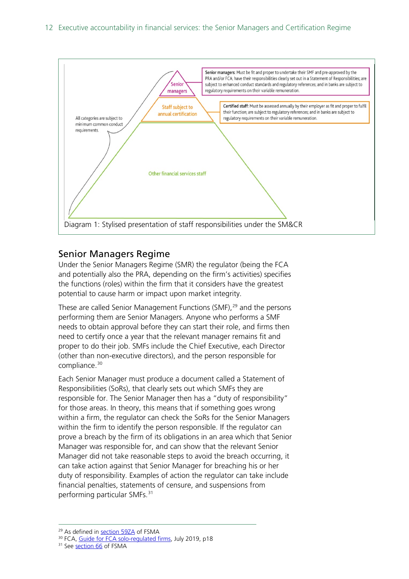

## <span id="page-11-0"></span>Senior Managers Regime

Under the Senior Managers Regime (SMR) the regulator (being the FCA and potentially also the PRA, depending on the firm's activities) specifies the functions (roles) within the firm that it considers have the greatest potential to cause harm or impact upon market integrity.

These are called Senior Management Functions (SMF), [29](#page-11-1) and the persons performing them are Senior Managers. Anyone who performs a SMF needs to obtain approval before they can start their role, and firms then need to certify once a year that the relevant manager remains fit and proper to do their job. SMFs include the Chief Executive, each Director (other than non-executive directors), and the person responsible for compliance.[30](#page-11-2)

Each Senior Manager must produce a document called a Statement of Responsibilities (SoRs), that clearly sets out which SMFs they are responsible for. The Senior Manager then has a "duty of responsibility" for those areas. In theory, this means that if something goes wrong within a firm, the regulator can check the SoRs for the Senior Managers within the firm to identify the person responsible. If the regulator can prove a breach by the firm of its obligations in an area which that Senior Manager was responsible for, and can show that the relevant Senior Manager did not take reasonable steps to avoid the breach occurring, it can take action against that Senior Manager for breaching his or her duty of responsibility. Examples of action the regulator can take include financial penalties, statements of censure, and suspensions from performing particular SMFs.[31](#page-11-3)

<span id="page-11-1"></span><sup>&</sup>lt;sup>29</sup> As defined i[n section 59ZA](https://www.legislation.gov.uk/ukpga/2000/8/section/59ZA) of FSMA

<span id="page-11-2"></span><sup>30</sup> FCA[, Guide for FCA solo-regulated firms,](https://www.fca.org.uk/publication/policy/guide-for-fca-solo-regulated-firms.pdf) July 2019, p18

<span id="page-11-3"></span><sup>&</sup>lt;sup>31</sup> Se[e section 66](https://www.legislation.gov.uk/ukpga/2000/8/section/66) of FSMA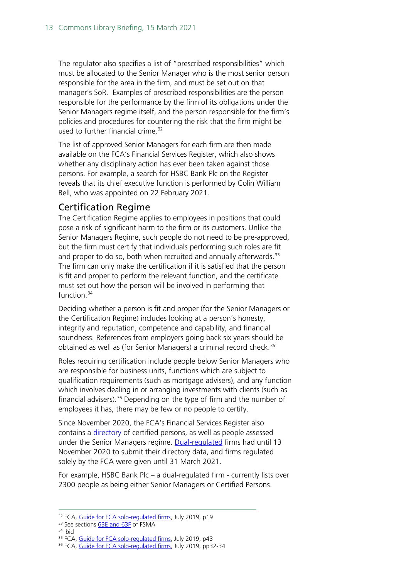The regulator also specifies a list of "prescribed responsibilities" which must be allocated to the Senior Manager who is the most senior person responsible for the area in the firm, and must be set out on that manager's SoR. Examples of prescribed responsibilities are the person responsible for the performance by the firm of its obligations under the Senior Managers regime itself, and the person responsible for the firm's policies and procedures for countering the risk that the firm might be used to further financial crime.<sup>[32](#page-12-1)</sup>

The list of approved Senior Managers for each firm are then made available on the FCA's Financial Services Register, which also shows whether any disciplinary action has ever been taken against those persons. For example, a search for HSBC Bank Plc on the Register reveals that its chief executive function is performed by Colin William Bell, who was appointed on 22 February 2021.

## <span id="page-12-0"></span>Certification Regime

The Certification Regime applies to employees in positions that could pose a risk of significant harm to the firm or its customers. Unlike the Senior Managers Regime, such people do not need to be pre-approved, but the firm must certify that individuals performing such roles are fit and proper to do so, both when recruited and annually afterwards. $33$ The firm can only make the certification if it is satisfied that the person is fit and proper to perform the relevant function, and the certificate must set out how the person will be involved in performing that function.<sup>[34](#page-12-3)</sup>

Deciding whether a person is fit and proper (for the Senior Managers or the Certification Regime) includes looking at a person's honesty, integrity and reputation, competence and capability, and financial soundness. References from employers going back six years should be obtained as well as (for Senior Managers) a criminal record check.<sup>[35](#page-12-4)</sup>

Roles requiring certification include people below Senior Managers who are responsible for business units, functions which are subject to qualification requirements (such as mortgage advisers), and any function which involves dealing in or arranging investments with clients (such as financial advisers). [36](#page-12-5) Depending on the type of firm and the number of employees it has, there may be few or no people to certify.

Since November 2020, the FCA's Financial Services Register also contains a [directory](https://www.fca.org.uk/firms/directory-persons) of certified persons, as well as people assessed under the Senior Managers regime. [Dual-regulated](#page-10-8) firms had until 13 November 2020 to submit their directory data, and firms regulated solely by the FCA were given until 31 March 2021.

For example, HSBC Bank Plc – a dual-regulated firm - currently lists over 2300 people as being either Senior Managers or Certified Persons.

<span id="page-12-1"></span><sup>&</sup>lt;sup>32</sup> FCA[, Guide for FCA solo-regulated firms,](https://www.fca.org.uk/publication/policy/guide-for-fca-solo-regulated-firms.pdf) July 2019, p19

<span id="page-12-3"></span><span id="page-12-2"></span><sup>&</sup>lt;sup>33</sup> See sections **63E and 63F** of FSMA

<sup>34</sup> Ibid

<sup>&</sup>lt;sup>35</sup> FCA[, Guide for FCA solo-regulated firms,](https://www.fca.org.uk/publication/policy/guide-for-fca-solo-regulated-firms.pdf) July 2019, p43

<span id="page-12-5"></span><span id="page-12-4"></span><sup>&</sup>lt;sup>36</sup> FCA[, Guide for FCA solo-regulated firms,](https://www.fca.org.uk/publication/policy/guide-for-fca-solo-regulated-firms.pdf) July 2019, pp32-34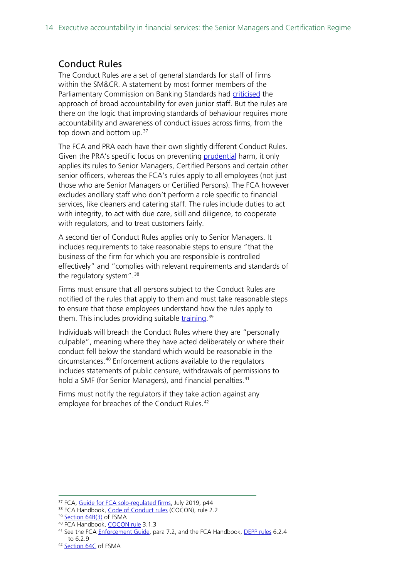## <span id="page-13-0"></span>Conduct Rules

The Conduct Rules are a set of general standards for staff of firms within the SM&CR. A statement by most former members of the Parliamentary Commission on Banking Standards had [criticised](#page-8-9) the approach of broad accountability for even junior staff. But the rules are there on the logic that improving standards of behaviour requires more accountability and awareness of conduct issues across firms, from the top down and bottom up. $37$ 

The FCA and PRA each have their own slightly different Conduct Rules. Given the PRA's specific focus on preventing [prudential](https://researchbriefings.files.parliament.uk/documents/CBP-8705/CBP-8705.pdf#page=10) harm, it only applies its rules to Senior Managers, Certified Persons and certain other senior officers, whereas the FCA's rules apply to all employees (not just those who are Senior Managers or Certified Persons). The FCA however excludes ancillary staff who don't perform a role specific to financial services, like cleaners and catering staff. The rules include duties to act with integrity, to act with due care, skill and diligence, to cooperate with regulators, and to treat customers fairly.

A second tier of Conduct Rules applies only to Senior Managers. It includes requirements to take reasonable steps to ensure "that the business of the firm for which you are responsible is controlled effectively" and "complies with relevant requirements and standards of the regulatory system". $38$ 

Firms must ensure that all persons subject to the Conduct Rules are notified of the rules that apply to them and must take reasonable steps to ensure that those employees understand how the rules apply to them. This includes providing suitable [training.](https://www.fca.org.uk/firms/senior-managers-certification-regime/solo-regulated-firms#revisions)<sup>[39](#page-13-3)</sup>

Individuals will breach the Conduct Rules where they are "personally culpable", meaning where they have acted deliberately or where their conduct fell below the standard which would be reasonable in the circumstances.[40](#page-13-4) Enforcement actions available to the regulators includes statements of public censure, withdrawals of permissions to hold a SMF (for Senior Managers), and financial penalties.<sup>[41](#page-13-5)</sup>

Firms must notify the regulators if they take action against any employee for breaches of the Conduct Rules.<sup>[42](#page-13-6)</sup>

<span id="page-13-2"></span><span id="page-13-1"></span><sup>&</sup>lt;sup>37</sup> FCA[, Guide for FCA solo-regulated firms,](https://www.fca.org.uk/publication/policy/guide-for-fca-solo-regulated-firms.pdf) July 2019, p44

<sup>38</sup> FCA Handbook, [Code of Conduct rules](https://www.handbook.fca.org.uk/handbook/COCON/2.pdf) (COCON), rule 2.2

<span id="page-13-3"></span><sup>39</sup> [Section 64B\(3\)](https://www.legislation.gov.uk/ukpga/2000/8/section/64B) of FSMA

<span id="page-13-5"></span><span id="page-13-4"></span><sup>40</sup> FCA Handbook, [COCON](https://www.handbook.fca.org.uk/handbook/COCON/3/?view=chapter) rule 3.1.3

<sup>&</sup>lt;sup>41</sup> See the FCA **Enforcement Guide**, para 7.2, and the FCA Handbook, [DEPP rules](https://www.handbook.fca.org.uk/handbook/DEPP/6/?view=chapter) 6.2.4 to 6.2.9

<span id="page-13-6"></span><sup>42</sup> [Section 64C](https://www.legislation.gov.uk/ukpga/2000/8/section/64C) of FSMA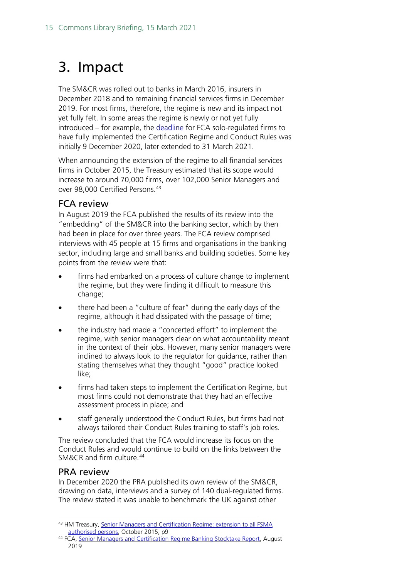## <span id="page-14-0"></span>3. Impact

The SM&CR was rolled out to banks in March 2016, insurers in December 2018 and to remaining financial services firms in December 2019. For most firms, therefore, the regime is new and its impact not yet fully felt. In some areas the regime is newly or not yet fully introduced – for example, the [deadline](https://www.fca.org.uk/publications/policy-statements/ps20-12-extending-implementation-deadlines-certification-regime-and-conduct-rules) for FCA solo-regulated firms to have fully implemented the Certification Regime and Conduct Rules was initially 9 December 2020, later extended to 31 March 2021.

When announcing the extension of the regime to all financial services firms in October 2015, the Treasury estimated that its scope would increase to around 70,000 firms, over 102,000 Senior Managers and over 98,000 Certified Persons.[43](#page-14-3)

### <span id="page-14-1"></span>FCA review

In August 2019 the FCA published the results of its review into the "embedding" of the SM&CR into the banking sector, which by then had been in place for over three years. The FCA review comprised interviews with 45 people at 15 firms and organisations in the banking sector, including large and small banks and building societies. Some key points from the review were that:

- firms had embarked on a process of culture change to implement the regime, but they were finding it difficult to measure this change;
- there had been a "culture of fear" during the early days of the regime, although it had dissipated with the passage of time;
- the industry had made a "concerted effort" to implement the regime, with senior managers clear on what accountability meant in the context of their jobs. However, many senior managers were inclined to always look to the regulator for guidance, rather than stating themselves what they thought "good" practice looked like;
- firms had taken steps to implement the Certification Regime, but most firms could not demonstrate that they had an effective assessment process in place; and
- staff generally understood the Conduct Rules, but firms had not always tailored their Conduct Rules training to staff's job roles.

The review concluded that the FCA would increase its focus on the Conduct Rules and would continue to build on the links between the SM&CR and firm culture.<sup>[44](#page-14-4)</sup>

### <span id="page-14-2"></span>PRA review

In December 2020 the PRA published its own review of the SM&CR, drawing on data, interviews and a survey of 140 dual-regulated firms. The review stated it was unable to benchmark the UK against other

<span id="page-14-3"></span><sup>43</sup> HM Treasury, Senior Managers and Certification Regime: extension to all FSMA [authorised persons,](https://assets.publishing.service.gov.uk/government/uploads/system/uploads/attachment_data/file/468328/SMCR_policy_paper_final_15102015.pdf) October 2015, p9

<span id="page-14-4"></span><sup>44</sup> FCA, Senior [Managers and Certification Regime Banking Stocktake Report,](https://www.fca.org.uk/publications/multi-firm-reviews/senior-managers-and-certification-regime-banking-stocktake-report) August 2019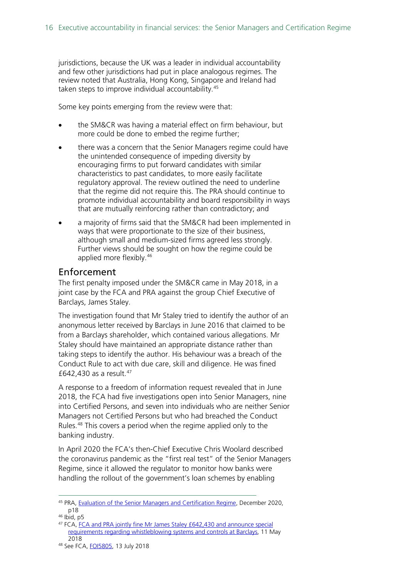jurisdictions, because the UK was a leader in individual accountability and few other jurisdictions had put in place analogous regimes. The review noted that Australia, Hong Kong, Singapore and Ireland had taken steps to improve individual accountability.<sup>[45](#page-15-1)</sup>

Some key points emerging from the review were that:

- the SM&CR was having a material effect on firm behaviour, but more could be done to embed the regime further;
- there was a concern that the Senior Managers regime could have the unintended consequence of impeding diversity by encouraging firms to put forward candidates with similar characteristics to past candidates, to more easily facilitate regulatory approval. The review outlined the need to underline that the regime did not require this. The PRA should continue to promote individual accountability and board responsibility in ways that are mutually reinforcing rather than contradictory; and
- a majority of firms said that the SM&CR had been implemented in ways that were proportionate to the size of their business, although small and medium-sized firms agreed less strongly. Further views should be sought on how the regime could be applied more flexibly. [46](#page-15-2)

### <span id="page-15-0"></span>Enforcement

The first penalty imposed under the SM&CR came in May 2018, in a joint case by the FCA and PRA against the group Chief Executive of Barclays, James Staley.

The investigation found that Mr Staley tried to identify the author of an anonymous letter received by Barclays in June 2016 that claimed to be from a Barclays shareholder, which contained various allegations. Mr Staley should have maintained an appropriate distance rather than taking steps to identify the author. His behaviour was a breach of the Conduct Rule to act with due care, skill and diligence. He was fined £642,430 as a result. [47](#page-15-3)

A response to a freedom of information request revealed that in June 2018, the FCA had five investigations open into Senior Managers, nine into Certified Persons, and seven into individuals who are neither Senior Managers not Certified Persons but who had breached the Conduct Rules.<sup>[48](#page-15-4)</sup> This covers a period when the regime applied only to the banking industry.

In April 2020 the FCA's then-Chief Executive Chris Woolard described the coronavirus pandemic as the "first real test" of the Senior Managers Regime, since it allowed the regulator to monitor how banks were handling the rollout of the government's loan schemes by enabling

<span id="page-15-1"></span><sup>45</sup> PRA, [Evaluation of the Senior Managers and Certification Regime,](https://www.bankofengland.co.uk/-/media/boe/files/prudential-regulation/report/evaluation-of-smcr-2020.pdf?la=en&hash=151E78315E5C50E70A6B8B08AE3D5E93563D0168) December 2020, p18

<span id="page-15-2"></span> $46$  Ibid, p5

<span id="page-15-3"></span><sup>&</sup>lt;sup>47</sup> FCA, <u>FCA and PRA jointly fine Mr James Staley £642,430 and announce special</u> [requirements regarding whistleblowing systems and controls at Barclays,](https://www.fca.org.uk/news/press-releases/fca-and-pra-jointly-fine-mr-james-staley-announce-special-requirements) 11 May 2018

<span id="page-15-4"></span><sup>48</sup> See FCA[, FOI5805,](https://www.fca.org.uk/publication/foi/foi5805-response.pdf) 13 July 2018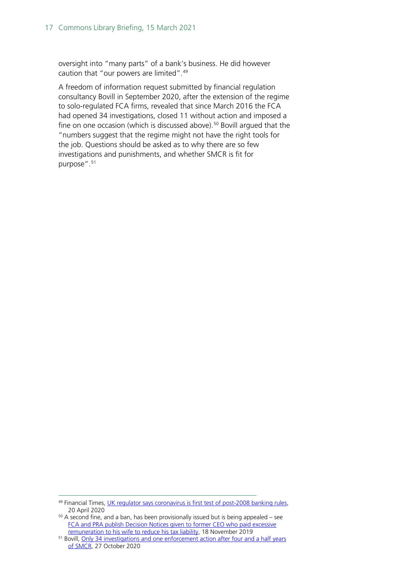oversight into "many parts" of a bank's business. He did however caution that "our powers are limited".[49](#page-16-0)

A freedom of information request submitted by financial regulation consultancy Bovill in September 2020, after the extension of the regime to solo-regulated FCA firms, revealed that since March 2016 the FCA had opened 34 investigations, closed 11 without action and imposed a fine on one occasion (which is discussed above). [50](#page-16-1) Bovill argued that the "numbers suggest that the regime might not have the right tools for the job. Questions should be asked as to why there are so few investigations and punishments, and whether SMCR is fit for purpose". [51](#page-16-2)

<span id="page-16-0"></span><sup>49</sup> Financial Times, [UK regulator says coronavirus is first test of post-2008 banking rules,](https://www.ft.com/content/0ec16280-423f-405a-a081-b51fee20d6c7) 20 April 2020

<span id="page-16-1"></span> $50$  A second fine, and a ban, has been provisionally issued but is being appealed – see [FCA and PRA publish Decision Notices given to former CEO who paid excessive](https://www.fca.org.uk/news/press-releases/fca-and-pra-publish-decision-notices-given-former-ceo-who-paid-excessive-remuneration-his-wife)  [remuneration to his wife to reduce his tax liability,](https://www.fca.org.uk/news/press-releases/fca-and-pra-publish-decision-notices-given-former-ceo-who-paid-excessive-remuneration-his-wife) 18 November 2019

<span id="page-16-2"></span><sup>&</sup>lt;sup>51</sup> Bovill, Only 34 investigations and one enforcement action after four and a half years [of SMCR,](https://www.bovill.com/only-34-investigations-and-one-enforcement-action-after-four-and-a-half-years-of-smcr/) 27 October 2020